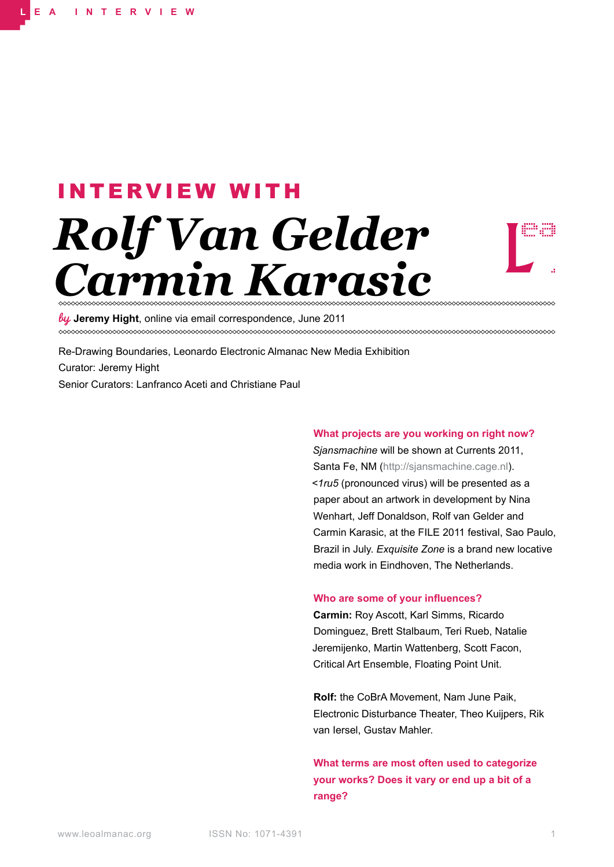# *Rolf Van Gelder Carmin Karasic* INTERVIEW WITH



**Jeremy Hight**, online via email correspondence, June 2011

Re-Drawing Boundaries, Leonardo Electronic Almanac New Media Exhibition Curator: Jeremy Hight Senior Curators: Lanfranco Aceti and Christiane Paul

## **What projects are you working on right now?**

*Sjansmachine* will be shown at Currents 2011, Santa Fe, NM (http://sjansmachine.cage.nl). *<1ru5* (pronounced virus) will be presented as a paper about an artwork in development by Nina Wenhart, Jeff Donaldson, Rolf van Gelder and Carmin Karasic, at the FILE 2011 festival, Sao Paulo, Brazil in July. *Exquisite Zone* is a brand new locative media work in Eindhoven, The Netherlands.

### **Who are some of your influences?**

**Carmin:** Roy Ascott, Karl Simms, Ricardo Dominguez, Brett Stalbaum, Teri Rueb, Natalie Jeremijenko, Martin Wattenberg, Scott Facon, Critical Art Ensemble, Floating Point Unit.

**Rolf:** the CoBrA Movement, Nam June Paik, Electronic Disturbance Theater, Theo Kuijpers, Rik van Iersel, Gustav Mahler.

**What terms are most often used to categorize your works? Does it vary or end up a bit of a range?**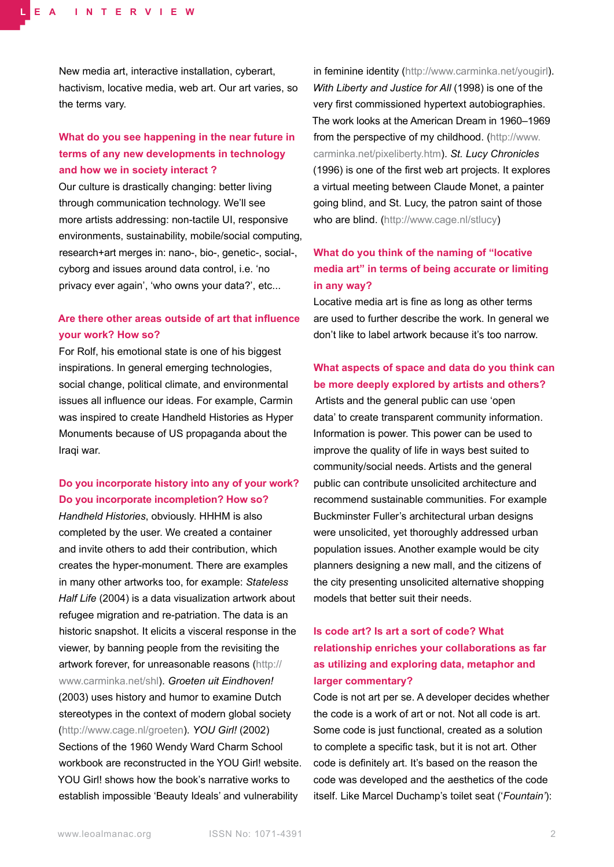New media art, interactive installation, cyberart, hactivism, locative media, web art. Our art varies, so the terms vary.

## **What do you see happening in the near future in terms of any new developments in technology and how we in society interact ?**

Our culture is drastically changing: better living through communication technology. We'll see more artists addressing: non-tactile UI, responsive environments, sustainability, mobile/social computing, research+art merges in: nano-, bio-, genetic-, social-, cyborg and issues around data control, i.e. 'no privacy ever again', 'who owns your data?', etc...

## **Are there other areas outside of art that influence your work? How so?**

For Rolf, his emotional state is one of his biggest inspirations. In general emerging technologies, social change, political climate, and environmental issues all influence our ideas. For example, Carmin was inspired to create Handheld Histories as Hyper Monuments because of US propaganda about the Iraqi war.

## **Do you incorporate history into any of your work? Do you incorporate incompletion? How so?**

*Handheld Histories*, obviously. HHHM is also completed by the user. We created a container and invite others to add their contribution, which creates the hyper-monument. There are examples in many other artworks too, for example: *Stateless Half Life* (2004) is a data visualization artwork about refugee migration and re-patriation. The data is an historic snapshot. It elicits a visceral response in the viewer, by banning people from the revisiting the artwork forever, for unreasonable reasons (http:// www.carminka.net/shl). *Groeten uit Eindhoven!*  (2003) uses history and humor to examine Dutch stereotypes in the context of modern global society (http://www.cage.nl/groeten). *YOU Girl!* (2002) Sections of the 1960 Wendy Ward Charm School workbook are reconstructed in the YOU Girl! website. YOU Girl! shows how the book's narrative works to establish impossible 'Beauty Ideals' and vulnerability

in feminine identity (http://www.carminka.net/yougirl). *With Liberty and Justice for All* (1998) is one of the very first commissioned hypertext autobiographies. The work looks at the American Dream in 1960–1969 from the perspective of my childhood. (http://www. carminka.net/pixeliberty.htm). *St. Lucy Chronicles*  (1996) is one of the first web art projects. It explores a virtual meeting between Claude Monet, a painter going blind, and St. Lucy, the patron saint of those who are blind. (http://www.cage.nl/stlucy)

## **What do you think of the naming of "locative media art" in terms of being accurate or limiting in any way?**

Locative media art is fine as long as other terms are used to further describe the work. In general we don't like to label artwork because it's too narrow.

# **What aspects of space and data do you think can be more deeply explored by artists and others?**

Artists and the general public can use 'open data' to create transparent community information. Information is power. This power can be used to improve the quality of life in ways best suited to community/social needs. Artists and the general public can contribute unsolicited architecture and recommend sustainable communities. For example Buckminster Fuller's architectural urban designs were unsolicited, yet thoroughly addressed urban population issues. Another example would be city planners designing a new mall, and the citizens of the city presenting unsolicited alternative shopping models that better suit their needs.

# **Is code art? Is art a sort of code? What relationship enriches your collaborations as far as utilizing and exploring data, metaphor and larger commentary?**

Code is not art per se. A developer decides whether the code is a work of art or not. Not all code is art. Some code is just functional, created as a solution to complete a specific task, but it is not art. Other code is definitely art. It's based on the reason the code was developed and the aesthetics of the code itself. Like Marcel Duchamp's toilet seat ('*Fountain'*):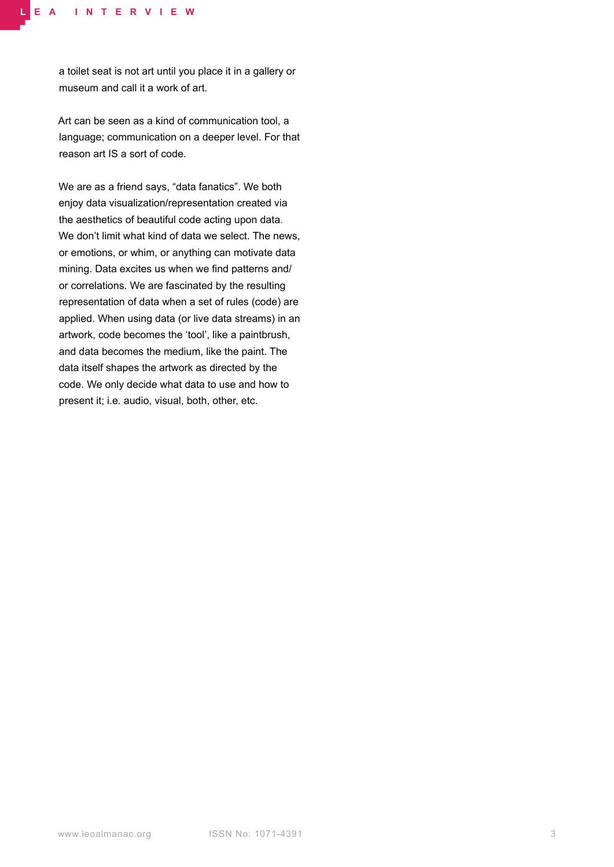a toilet seat is not art until you place it in a gallery or museum and call it a work of art.

Art can be seen as a kind of communication tool, a language; communication on a deeper level. For that reason art IS a sort of code.

We are as a friend says, "data fanatics". We both enjoy data visualization/representation created via the aesthetics of beautiful code acting upon data. We don't limit what kind of data we select. The news, or emotions, or whim, or anything can motivate data mining. Data excites us when we find patterns and/ or correlations. We are fascinated by the resulting representation of data when a set of rules (code) are applied. When using data (or live data streams) in an artwork, code becomes the 'tool', like a paintbrush, and data becomes the medium, like the paint. The data itself shapes the artwork as directed by the code. We only decide what data to use and how to present it; i.e. audio, visual, both, other, etc.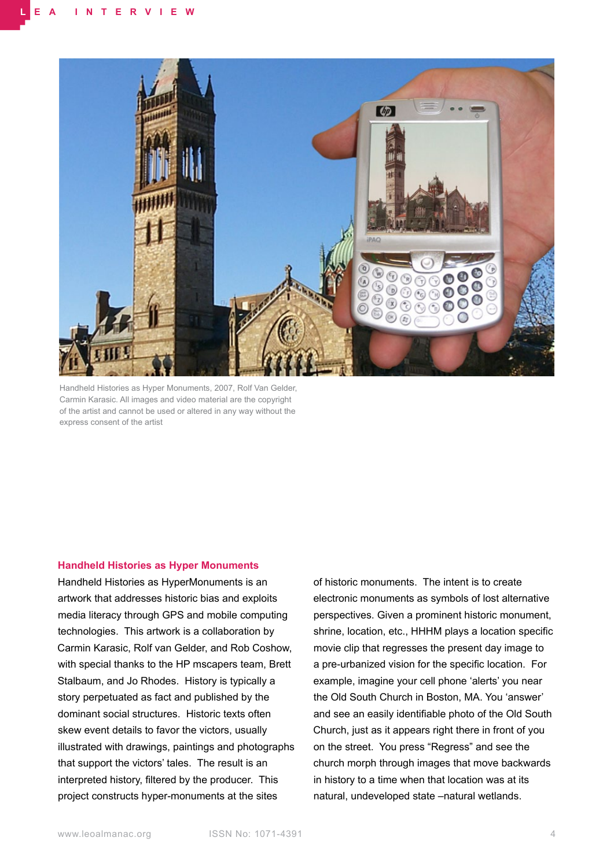

Handheld Histories as Hyper Monuments, 2007, Rolf Van Gelder, Carmin Karasic. All images and video material are the copyright of the artist and cannot be used or altered in any way without the express consent of the artist

#### **Handheld Histories as Hyper Monuments**

Handheld Histories as HyperMonuments is an artwork that addresses historic bias and exploits media literacy through GPS and mobile computing technologies. This artwork is a collaboration by Carmin Karasic, Rolf van Gelder, and Rob Coshow, with special thanks to the HP mscapers team, Brett Stalbaum, and Jo Rhodes. History is typically a story perpetuated as fact and published by the dominant social structures. Historic texts often skew event details to favor the victors, usually illustrated with drawings, paintings and photographs that support the victors' tales. The result is an interpreted history, filtered by the producer. This project constructs hyper-monuments at the sites

of historic monuments. The intent is to create electronic monuments as symbols of lost alternative perspectives. Given a prominent historic monument, shrine, location, etc., HHHM plays a location specific movie clip that regresses the present day image to a pre-urbanized vision for the specific location. For example, imagine your cell phone 'alerts' you near the Old South Church in Boston, MA. You 'answer' and see an easily identifiable photo of the Old South Church, just as it appears right there in front of you on the street. You press "Regress" and see the church morph through images that move backwards in history to a time when that location was at its natural, undeveloped state –natural wetlands.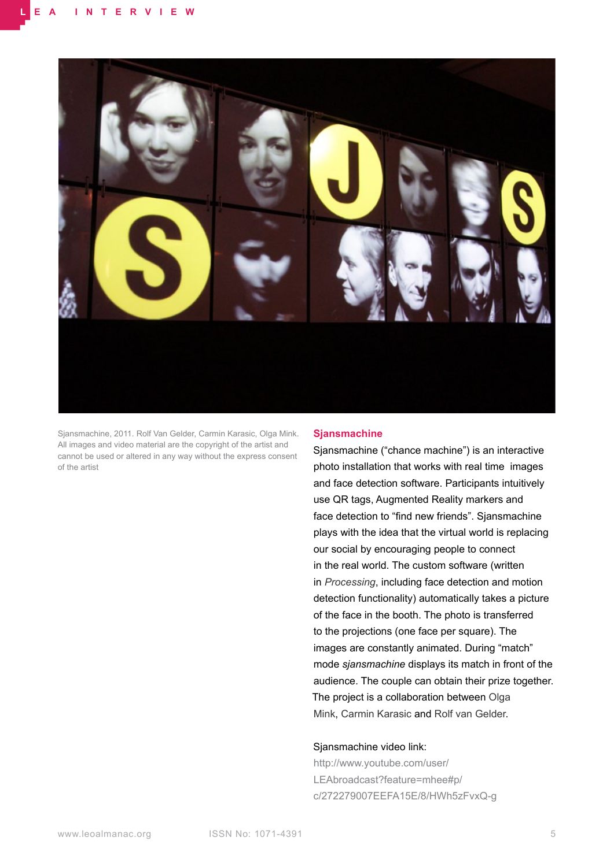

Sjansmachine, 2011. Rolf Van Gelder, Carmin Karasic, Olga Mink. All images and video material are the copyright of the artist and cannot be used or altered in any way without the express consent of the artist

#### **Sjansmachine**

Sjansmachine ("chance machine") is an interactive photo installation that works with real time images and face detection software. Participants intuitively use QR tags, Augmented Reality markers and face detection to "find new friends". Sjansmachine plays with the idea that the virtual world is replacing our social by encouraging people to connect in the real world. The custom software (written in *Processing*, including face detection and motion detection functionality) automatically takes a picture of the face in the booth. The photo is transferred to the projections (one face per square). The images are constantly animated. During "match" mode *sjansmachine* displays its match in front of the audience. The couple can obtain their prize together. The project is a collaboration between Olga Mink, Carmin Karasic and Rolf van Gelder.

## Sjansmachine video link:

http://www.youtube.com/user/ LEAbroadcast?feature=mhee#p/ c/272279007EEFA15E/8/HWh5zFvxQ-g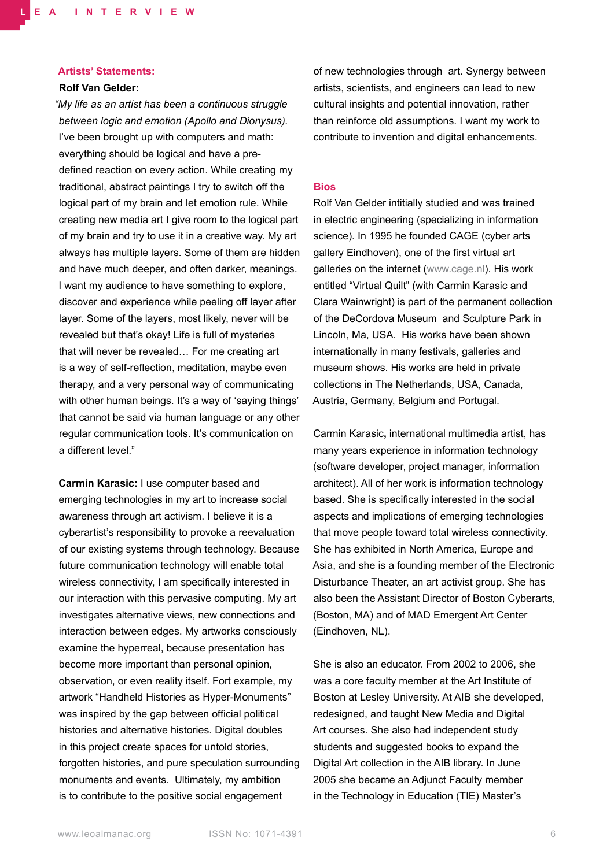#### **Artists' Statements:**

## **Rolf Van Gelder:**

*"My life as an artist has been a continuous struggle between logic and emotion (Apollo and Dionysus).*  I've been brought up with computers and math: everything should be logical and have a predefined reaction on every action. While creating my traditional, abstract paintings I try to switch off the logical part of my brain and let emotion rule. While creating new media art I give room to the logical part of my brain and try to use it in a creative way. My art always has multiple layers. Some of them are hidden and have much deeper, and often darker, meanings. I want my audience to have something to explore, discover and experience while peeling off layer after layer. Some of the layers, most likely, never will be revealed but that's okay! Life is full of mysteries that will never be revealed… For me creating art is a way of self-reflection, meditation, maybe even therapy, and a very personal way of communicating with other human beings. It's a way of 'saying things' that cannot be said via human language or any other regular communication tools. It's communication on a different level."

**Carmin Karasic:** I use computer based and emerging technologies in my art to increase social awareness through art activism. I believe it is a cyberartist's responsibility to provoke a reevaluation of our existing systems through technology. Because future communication technology will enable total wireless connectivity, I am specifically interested in our interaction with this pervasive computing. My art investigates alternative views, new connections and interaction between edges. My artworks consciously examine the hyperreal, because presentation has become more important than personal opinion, observation, or even reality itself. Fort example, my artwork "Handheld Histories as Hyper-Monuments" was inspired by the gap between official political histories and alternative histories. Digital doubles in this project create spaces for untold stories, forgotten histories, and pure speculation surrounding monuments and events. Ultimately, my ambition is to contribute to the positive social engagement

of new technologies through art. Synergy between artists, scientists, and engineers can lead to new cultural insights and potential innovation, rather than reinforce old assumptions. I want my work to contribute to invention and digital enhancements.

### **Bios**

Rolf Van Gelder intitially studied and was trained in electric engineering (specializing in information science). In 1995 he founded CAGE (cyber arts gallery Eindhoven), one of the first virtual art galleries on the internet (www.cage.nl). His work entitled "Virtual Quilt" (with Carmin Karasic and Clara Wainwright) is part of the permanent collection of the DeCordova Museum and Sculpture Park in Lincoln, Ma, USA. His works have been shown internationally in many festivals, galleries and museum shows. His works are held in private collections in The Netherlands, USA, Canada, Austria, Germany, Belgium and Portugal.

Carmin Karasic**,** international multimedia artist, has many years experience in information technology (software developer, project manager, information architect). All of her work is information technology based. She is specifically interested in the social aspects and implications of emerging technologies that move people toward total wireless connectivity. She has exhibited in North America, Europe and Asia, and she is a founding member of the Electronic Disturbance Theater, an art activist group. She has also been the Assistant Director of Boston Cyberarts, (Boston, MA) and of MAD Emergent Art Center (Eindhoven, NL).

She is also an educator. From 2002 to 2006, she was a core faculty member at the Art Institute of Boston at Lesley University. At AIB she developed, redesigned, and taught New Media and Digital Art courses. She also had independent study students and suggested books to expand the Digital Art collection in the AIB library. In June 2005 she became an Adjunct Faculty member in the Technology in Education (TIE) Master's